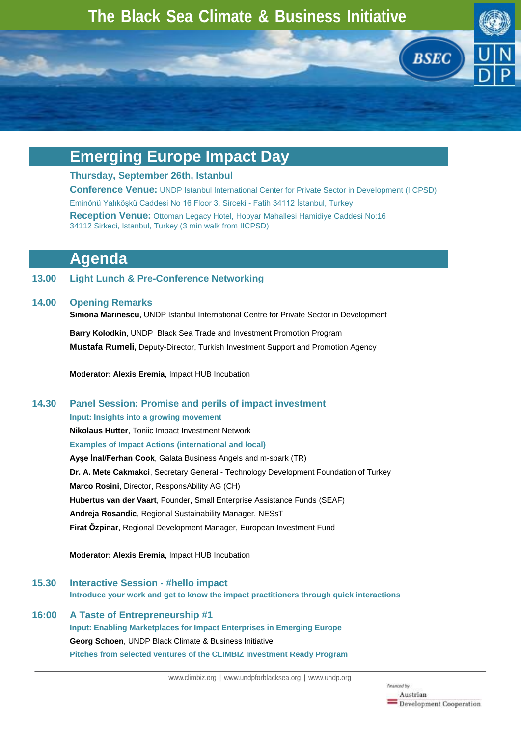

# **Emerging Europe Impact Day**

### **Thursday, September 26th, Istanbul**

**Conference Venue:** UNDP Istanbul International Center for Private Sector in Development (IICPSD) Eminönü Yalıköşkü Caddesi No 16 Floor 3, Sirceki - Fatih 34112 İstanbul, Turkey **Reception Venue:** Ottoman Legacy Hotel, Hobyar Mahallesi Hamidiye Caddesi No:16 34112 Sirkeci, Istanbul, Turkey (3 min walk from IICPSD)

# **Agenda**

## **13.00 Light Lunch & Pre-Conference Networking**

## **14.00 Opening Remarks**

**Simona Marinescu**, UNDP Istanbul International Centre for Private Sector in Development **Barry Kolodkin**, UNDP Black Sea Trade and Investment Promotion Program

**Mustafa Rumeli,** Deputy-Director, Turkish Investment Support and Promotion Agency

**Moderator: Alexis Eremia**, Impact HUB Incubation

# **14.30 Panel Session: Promise and perils of impact investment**

**Input: Insights into a growing movement Nikolaus Hutter**, Toniic Impact Investment Network **Examples of Impact Actions (international and local) Ayşe İnal/Ferhan Cook**, Galata Business Angels and m-spark (TR) **Dr. A. Mete Cakmakci**, Secretary General - Technology Development Foundation of Turkey **Marco Rosini**, Director, ResponsAbility AG (CH) **Hubertus van der Vaart**, Founder, Small Enterprise Assistance Funds (SEAF) **Andreja Rosandic**, Regional Sustainability Manager, NESsT **Firat Ӧzpinar**, Regional Development Manager, European Investment Fund

**Moderator: Alexis Eremia**, Impact HUB Incubation

**15.30 Interactive Session - #hello impact Introduce your work and get to know the impact practitioners through quick interactions**

# **16:00 A Taste of Entrepreneurship #1**

# **Input: Enabling Marketplaces for Impact Enterprises in Emerging Europe**

**Georg Schoen**, UNDP Black Climate & Business Initiative

**Pitches from selected ventures of the CLIMBIZ Investment Ready Program**